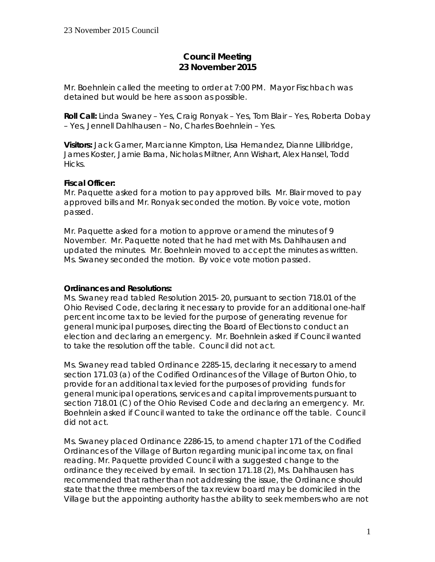# **Council Meeting 23 November 2015**

Mr. Boehnlein called the meeting to order at 7:00 PM. Mayor Fischbach was detained but would be here as soon as possible.

**Roll Call:** Linda Swaney – Yes, Craig Ronyak – Yes, Tom Blair – Yes, Roberta Dobay – Yes, Jennell Dahlhausen – No, Charles Boehnlein – Yes.

**Visitors:** Jack Garner, Marcianne Kimpton, Lisa Hernandez, Dianne Lillibridge, James Koster, Jamie Barna, Nicholas Miltner, Ann Wishart, Alex Hansel, Todd Hicks.

### **Fiscal Officer:**

Mr. Paquette asked for a motion to pay approved bills. Mr. Blair moved to pay approved bills and Mr. Ronyak seconded the motion. By voice vote, motion passed.

Mr. Paquette asked for a motion to approve or amend the minutes of 9 November. Mr. Paquette noted that he had met with Ms. Dahlhausen and updated the minutes. Mr. Boehnlein moved to accept the minutes as written. Ms. Swaney seconded the motion. By voice vote motion passed.

### **Ordinances and Resolutions:**

Ms. Swaney read tabled Resolution 2015- 20, pursuant to section 718.01 of the Ohio Revised Code, declaring it necessary to provide for an additional one-half percent income tax to be levied for the purpose of generating revenue for general municipal purposes, directing the Board of Elections to conduct an election and declaring an emergency. Mr. Boehnlein asked if Council wanted to take the resolution off the table. Council did not act.

Ms. Swaney read tabled Ordinance 2285-15, declaring it necessary to amend section 171.03 (a) of the Codified Ordinances of the Village of Burton Ohio, to provide for an additional tax levied for the purposes of providing funds for general municipal operations, services and capital improvements pursuant to section 718.01 (C) of the Ohio Revised Code and declaring an emergency. Mr. Boehnlein asked if Council wanted to take the ordinance off the table. Council did not act.

Ms. Swaney placed Ordinance 2286-15, to amend chapter 171 of the Codified Ordinances of the Village of Burton regarding municipal income tax, on final reading. Mr. Paquette provided Council with a suggested change to the ordinance they received by email. In section 171.18 (2), Ms. Dahlhausen has recommended that rather than not addressing the issue, the Ordinance should state that the three members of the tax review board may be domiciled in the Village but the appointing authority has the ability to seek members who are not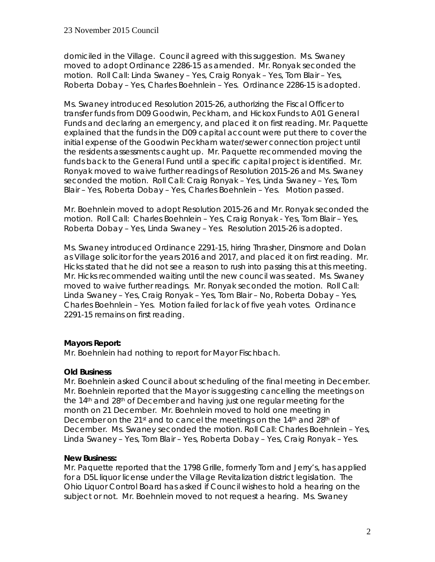domiciled in the Village. Council agreed with this suggestion. Ms. Swaney moved to adopt Ordinance 2286-15 as amended. Mr. Ronyak seconded the motion. Roll Call: Linda Swaney – Yes, Craig Ronyak – Yes, Tom Blair – Yes, Roberta Dobay – Yes, Charles Boehnlein – Yes. Ordinance 2286-15 is adopted.

Ms. Swaney introduced Resolution 2015-26, authorizing the Fiscal Officer to transfer funds from D09 Goodwin, Peckham, and Hickox Funds to A01 General Funds and declaring an emergency, and placed it on first reading. Mr. Paquette explained that the funds in the D09 capital account were put there to cover the initial expense of the Goodwin Peckham water/sewer connection project until the residents assessments caught up. Mr. Paquette recommended moving the funds back to the General Fund until a specific capital project is identified. Mr. Ronyak moved to waive further readings of Resolution 2015-26 and Ms. Swaney seconded the motion. Roll Call: Craig Ronyak – Yes, Linda Swaney – Yes, Tom Blair – Yes, Roberta Dobay – Yes, Charles Boehnlein – Yes. Motion passed.

Mr. Boehnlein moved to adopt Resolution 2015-26 and Mr. Ronyak seconded the motion. Roll Call: Charles Boehnlein – Yes, Craig Ronyak - Yes, Tom Blair – Yes, Roberta Dobay – Yes, Linda Swaney – Yes. Resolution 2015-26 is adopted.

Ms. Swaney introduced Ordinance 2291-15, hiring Thrasher, Dinsmore and Dolan as Village solicitor for the years 2016 and 2017, and placed it on first reading. Mr. Hicks stated that he did not see a reason to rush into passing this at this meeting. Mr. Hicks recommended waiting until the new council was seated. Ms. Swaney moved to waive further readings. Mr. Ronyak seconded the motion. Roll Call: Linda Swaney – Yes, Craig Ronyak – Yes, Tom Blair – No, Roberta Dobay – Yes, Charles Boehnlein – Yes. Motion failed for lack of five yeah votes. Ordinance 2291-15 remains on first reading.

### **Mayors Report:**

Mr. Boehnlein had nothing to report for Mayor Fischbach.

# **Old Business**

Mr. Boehnlein asked Council about scheduling of the final meeting in December. Mr. Boehnlein reported that the Mayor is suggesting cancelling the meetings on the 14<sup>th</sup> and 28<sup>th</sup> of December and having just one regular meeting for the month on 21 December. Mr. Boehnlein moved to hold one meeting in December on the 21st and to cancel the meetings on the  $14<sup>th</sup>$  and  $28<sup>th</sup>$  of December. Ms. Swaney seconded the motion. Roll Call: Charles Boehnlein – Yes, Linda Swaney – Yes, Tom Blair – Yes, Roberta Dobay – Yes, Craig Ronyak – Yes.

### **New Business:**

Mr. Paquette reported that the 1798 Grille, formerly Tom and Jerry's, has applied for a D5L liquor license under the Village Revitalization district legislation. The Ohio Liquor Control Board has asked if Council wishes to hold a hearing on the subject or not. Mr. Boehnlein moved to not request a hearing. Ms. Swaney